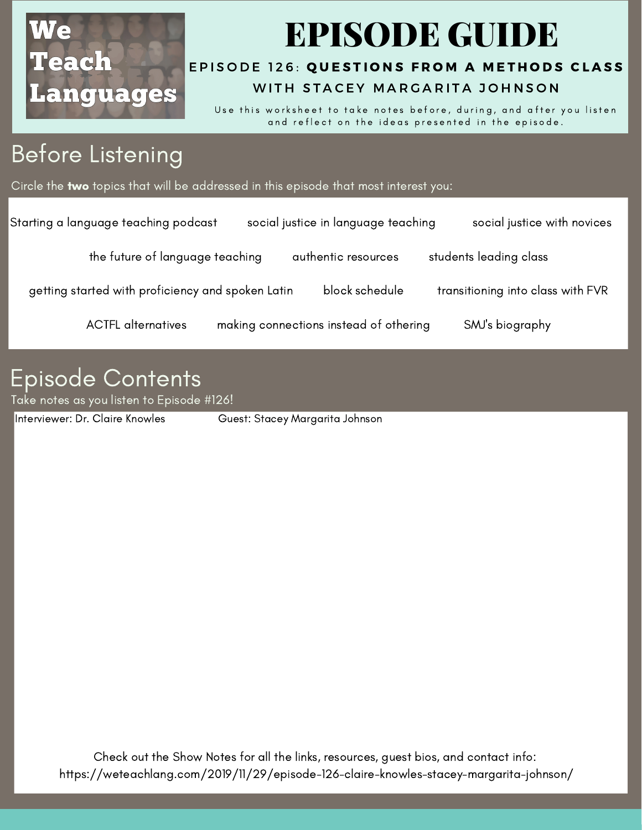

# EPISODE GUIDE

#### EPISODE 126: QUESTIONS FRO[M](https://weteachlang.com/2019/11/29/episode-126-claire-knowles-stacey-margarita-johnson/) A METHODS CLASS WITH STACEY MARGARITA JOHNSON

Use this worksheet to take notes before, during, and after you listen and reflect on the ideas presented in the episode.

## Before Listening

Circle the two topics that will be addressed in this episode that most interest you:

| Starting a language teaching podcast              | social justice in language teaching    |                | social justice with novices       |
|---------------------------------------------------|----------------------------------------|----------------|-----------------------------------|
| the future of language teaching                   | authentic resources                    |                | students leading class            |
| getting started with proficiency and spoken Latin |                                        | block schedule | transitioning into class with FVR |
| <b>ACTFL</b> alternatives                         | making connections instead of othering |                | SMJ's biography                   |
|                                                   |                                        |                |                                   |

#### Episode Contents

Take notes as you listen to Episode #126!

[Interviewer:](https://weteachlang.com/2018/08/31/ep-68-with-erin-whelchel) Dr. Claire Knowles Guest: Stacey Margarita Johnson

Check out the Show Notes for all the links, resources, guest bios, and contact info: <https://weteachlang.com/2019/11/29/episode-126-claire-knowles-stacey-margarita-johnson/>